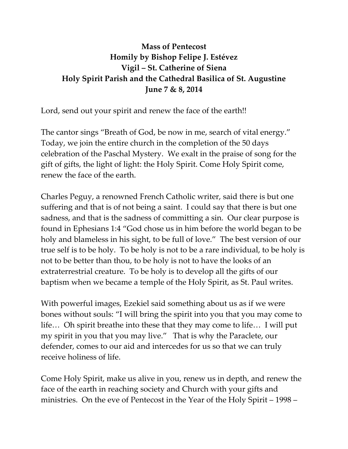## **Mass of Pentecost Homily by Bishop Felipe J. Estévez Vigil – St. Catherine of Siena Holy Spirit Parish and the Cathedral Basilica of St. Augustine June 7 & 8, 2014**

Lord, send out your spirit and renew the face of the earth!!

The cantor sings "Breath of God, be now in me, search of vital energy." Today, we join the entire church in the completion of the 50 days celebration of the Paschal Mystery. We exalt in the praise of song for the gift of gifts, the light of light: the Holy Spirit. Come Holy Spirit come, renew the face of the earth.

Charles Peguy, a renowned French Catholic writer, said there is but one suffering and that is of not being a saint. I could say that there is but one sadness, and that is the sadness of committing a sin. Our clear purpose is found in Ephesians 1:4 "God chose us in him before the world began to be holy and blameless in his sight, to be full of love." The best version of our true self is to be holy. To be holy is not to be a rare individual, to be holy is not to be better than thou, to be holy is not to have the looks of an extraterrestrial creature. To be holy is to develop all the gifts of our baptism when we became a temple of the Holy Spirit, as St. Paul writes.

With powerful images, Ezekiel said something about us as if we were bones without souls: "I will bring the spirit into you that you may come to life… Oh spirit breathe into these that they may come to life… I will put my spirit in you that you may live." That is why the Paraclete, our defender, comes to our aid and intercedes for us so that we can truly receive holiness of life.

Come Holy Spirit, make us alive in you, renew us in depth, and renew the face of the earth in reaching society and Church with your gifts and ministries. On the eve of Pentecost in the Year of the Holy Spirit – 1998 –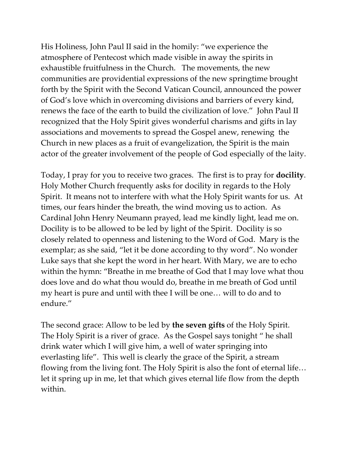His Holiness, John Paul II said in the homily: "we experience the atmosphere of Pentecost which made visible in away the spirits in exhaustible fruitfulness in the Church. The movements, the new communities are providential expressions of the new springtime brought forth by the Spirit with the Second Vatican Council, announced the power of God's love which in overcoming divisions and barriers of every kind, renews the face of the earth to build the civilization of love." John Paul II recognized that the Holy Spirit gives wonderful charisms and gifts in lay associations and movements to spread the Gospel anew, renewing the Church in new places as a fruit of evangelization, the Spirit is the main actor of the greater involvement of the people of God especially of the laity.

Today, I pray for you to receive two graces. The first is to pray for **docility**. Holy Mother Church frequently asks for docility in regards to the Holy Spirit. It means not to interfere with what the Holy Spirit wants for us. At times, our fears hinder the breath, the wind moving us to action. As Cardinal John Henry Neumann prayed, lead me kindly light, lead me on. Docility is to be allowed to be led by light of the Spirit. Docility is so closely related to openness and listening to the Word of God. Mary is the exemplar; as she said, "let it be done according to thy word". No wonder Luke says that she kept the word in her heart. With Mary, we are to echo within the hymn: "Breathe in me breathe of God that I may love what thou does love and do what thou would do, breathe in me breath of God until my heart is pure and until with thee I will be one… will to do and to endure."

The second grace: Allow to be led by **the seven gifts** of the Holy Spirit. The Holy Spirit is a river of grace. As the Gospel says tonight " he shall drink water which I will give him, a well of water springing into everlasting life". This well is clearly the grace of the Spirit, a stream flowing from the living font. The Holy Spirit is also the font of eternal life… let it spring up in me, let that which gives eternal life flow from the depth within.